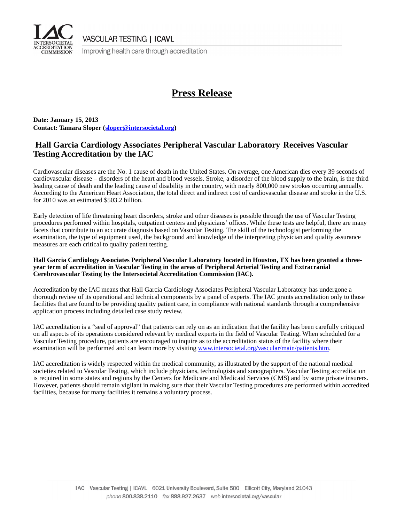

**VASCULAR TESTING | ICAVL** 

Improving health care through accreditation

# **Press Release**

**Date: January 15, 2013 Contact: Tamara Sloper ([sloper@intersocietal.org](mailTo:sloper@intersocietal.org))**

### **Hall Garcia Cardiology Associates Peripheral Vascular Laboratory Receives Vascular Testing Accreditation by the IAC**

Cardiovascular diseases are the No. 1 cause of death in the United States. On average, one American dies every 39 seconds of cardiovascular disease – disorders of the heart and blood vessels. Stroke, a disorder of the blood supply to the brain, is the third leading cause of death and the leading cause of disability in the country, with nearly 800,000 new strokes occurring annually. According to the American Heart Association, the total direct and indirect cost of cardiovascular disease and stroke in the U.S. for 2010 was an estimated \$503.2 billion.

Early detection of life threatening heart disorders, stroke and other diseases is possible through the use of Vascular Testing procedures performed within hospitals, outpatient centers and physicians' offices. While these tests are helpful, there are many facets that contribute to an accurate diagnosis based on Vascular Testing. The skill of the technologist performing the examination, the type of equipment used, the background and knowledge of the interpreting physician and quality assurance measures are each critical to quality patient testing.

### **Hall Garcia Cardiology Associates Peripheral Vascular Laboratory located in Houston, TX has been granted a threeyear term of accreditation in Vascular Testing in the areas of Peripheral Arterial Testing and Extracranial Cerebrovascular Testing by the Intersocietal Accreditation Commission (IAC).**

Accreditation by the IAC means that Hall Garcia Cardiology Associates Peripheral Vascular Laboratory has undergone a thorough review of its operational and technical components by a panel of experts. The IAC grants accreditation only to those facilities that are found to be providing quality patient care, in compliance with national standards through a comprehensive application process including detailed case study review.

IAC accreditation is a "seal of approval" that patients can rely on as an indication that the facility has been carefully critiqued on all aspects of its operations considered relevant by medical experts in the field of Vascular Testing. When scheduled for a Vascular Testing procedure, patients are encouraged to inquire as to the accreditation status of the facility where their examination will be performed and can learn more by visiting [www.intersocietal.org/vascular/main/patients.htm.](www.intersocietal.org/vascular/main/patients.htm)

IAC accreditation is widely respected within the medical community, as illustrated by the support of the national medical societies related to Vascular Testing, which include physicians, technologists and sonographers. Vascular Testing accreditation is required in some states and regions by the Centers for Medicare and Medicaid Services (CMS) and by some private insurers. However, patients should remain vigilant in making sure that their Vascular Testing procedures are performed within accredited facilities, because for many facilities it remains a voluntary process.